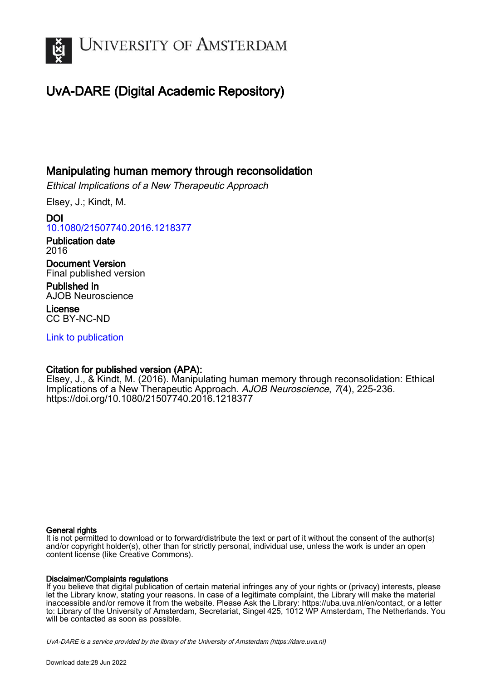

## UvA-DARE (Digital Academic Repository)

### Manipulating human memory through reconsolidation

Ethical Implications of a New Therapeutic Approach

Elsey, J.; Kindt, M.

DOI [10.1080/21507740.2016.1218377](https://doi.org/10.1080/21507740.2016.1218377)

Publication date 2016

Document Version Final published version

Published in AJOB Neuroscience

License CC BY-NC-ND

[Link to publication](https://dare.uva.nl/personal/pure/en/publications/manipulating-human-memory-through-reconsolidation(1dd71b47-9e4e-420c-9eba-233d82bfe78b).html)

#### Citation for published version (APA):

Elsey, J., & Kindt, M. (2016). Manipulating human memory through reconsolidation: Ethical Implications of a New Therapeutic Approach. AJOB Neuroscience, 7(4), 225-236. <https://doi.org/10.1080/21507740.2016.1218377>

#### General rights

It is not permitted to download or to forward/distribute the text or part of it without the consent of the author(s) and/or copyright holder(s), other than for strictly personal, individual use, unless the work is under an open content license (like Creative Commons).

#### Disclaimer/Complaints regulations

If you believe that digital publication of certain material infringes any of your rights or (privacy) interests, please let the Library know, stating your reasons. In case of a legitimate complaint, the Library will make the material inaccessible and/or remove it from the website. Please Ask the Library: https://uba.uva.nl/en/contact, or a letter to: Library of the University of Amsterdam, Secretariat, Singel 425, 1012 WP Amsterdam, The Netherlands. You will be contacted as soon as possible.

UvA-DARE is a service provided by the library of the University of Amsterdam (http*s*://dare.uva.nl)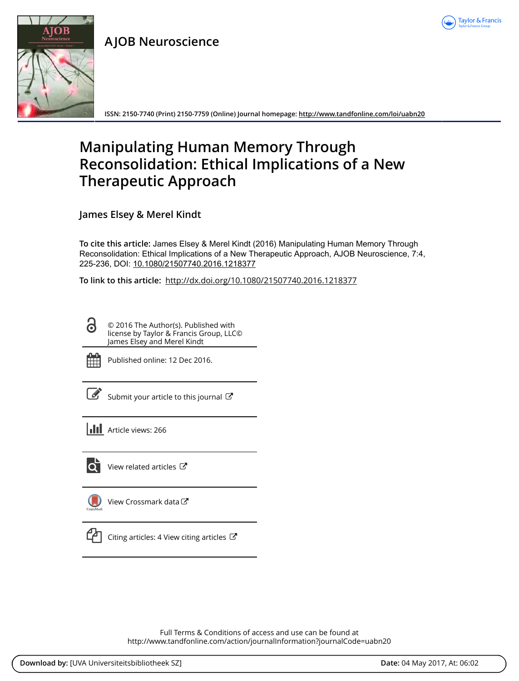

## **AJOB Neuroscience**



**ISSN: 2150-7740 (Print) 2150-7759 (Online) Journal homepage:<http://www.tandfonline.com/loi/uabn20>**

## **Manipulating Human Memory Through Reconsolidation: Ethical Implications of a New Therapeutic Approach**

**James Elsey & Merel Kindt**

**To cite this article:** James Elsey & Merel Kindt (2016) Manipulating Human Memory Through Reconsolidation: Ethical Implications of a New Therapeutic Approach, AJOB Neuroscience, 7:4, 225-236, DOI: [10.1080/21507740.2016.1218377](http://www.tandfonline.com/action/showCitFormats?doi=10.1080/21507740.2016.1218377)

**To link to this article:** <http://dx.doi.org/10.1080/21507740.2016.1218377>

 $\mathbf{a}$ © 2016 The Author(s). Published with license by Taylor & Francis Group, LLC© James Elsey and Merel Kindt



Published online: 12 Dec 2016.

| I |
|---|
|---|

[Submit your article to this journal](http://www.tandfonline.com/action/authorSubmission?journalCode=uabn20&show=instructions)  $\mathbb{Z}$ 

**III** Article views: 266



 $\overline{\mathbf{Q}}$  [View related articles](http://www.tandfonline.com/doi/mlt/10.1080/21507740.2016.1218377)  $\mathbf{C}$ 

[View Crossmark data](http://crossmark.crossref.org/dialog/?doi=10.1080/21507740.2016.1218377&domain=pdf&date_stamp=2016-12-12)<sup>C</sup>



[Citing articles: 4 View citing articles](http://www.tandfonline.com/doi/citedby/10.1080/21507740.2016.1218377#tabModule)  $\mathbb{Z}$ 

Full Terms & Conditions of access and use can be found at <http://www.tandfonline.com/action/journalInformation?journalCode=uabn20>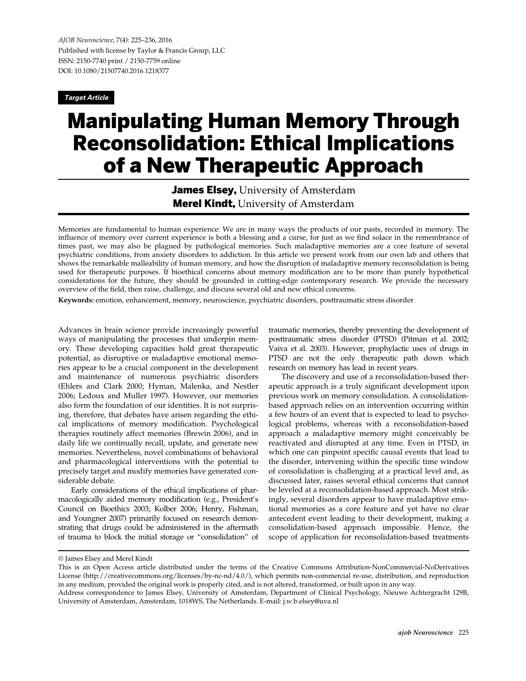AJOB Neuroscience, 7(4): 225–236, 2016 Published with license by Taylor & Francis Group, LLC ISSN: 2150-7740 print / 2150-7759 online DOI: 10.1080/21507740.2016.1218377

Target Article

# Manipulating Human Memory Through Reconsolidation: Ethical Implications of a New Therapeutic Approach

James Elsey, University of Amsterdam **Merel Kindt, University of Amsterdam** 

Memories are fundamental to human experience: We are in many ways the products of our pasts, recorded in memory. The influence of memory over current experience is both a blessing and a curse, for just as we find solace in the remembrance of times past, we may also be plagued by pathological memories. Such maladaptive memories are a core feature of several psychiatric conditions, from anxiety disorders to addiction. In this article we present work from our own lab and others that shows the remarkable malleability of human memory, and how the disruption of maladaptive memory reconsolidation is being used for therapeutic purposes. If bioethical concerns about memory modification are to be more than purely hypothetical considerations for the future, they should be grounded in cutting-edge contemporary research. We provide the necessary overview of the field, then raise, challenge, and discuss several old and new ethical concerns.

Keywords: emotion, enhancement, memory, neuroscience, psychiatric disorders, posttraumatic stress disorder

Advances in brain science provide increasingly powerful ways of manipulating the processes that underpin memory. These developing capacities hold great therapeutic potential, as disruptive or maladaptive emotional memories appear to be a crucial component in the development and maintenance of numerous psychiatric disorders (Ehlers and Clark 2000; Hyman, Malenka, and Nestler 2006; Ledoux and Muller 1997). However, our memories also form the foundation of our identities. It is not surprising, therefore, that debates have arisen regarding the ethical implications of memory modification. Psychological therapies routinely affect memories (Brewin 2006), and in daily life we continually recall, update, and generate new memories. Nevertheless, novel combinations of behavioral and pharmacological interventions with the potential to precisely target and modify memories have generated considerable debate.

Early considerations of the ethical implications of pharmacologically aided memory modification (e.g., President's Council on Bioethics 2003; Kolber 2006; Henry, Fishman, and Youngner 2007) primarily focused on research demonstrating that drugs could be administered in the aftermath of trauma to block the initial storage or "consolidation" of traumatic memories, thereby preventing the development of posttraumatic stress disorder (PTSD) (Pitman et al. 2002; Vaiva et al. 2003). However, prophylactic uses of drugs in PTSD are not the only therapeutic path down which research on memory has lead in recent years.

The discovery and use of a reconsolidation-based therapeutic approach is a truly significant development upon previous work on memory consolidation. A consolidationbased approach relies on an intervention occurring within a few hours of an event that is expected to lead to psychological problems, whereas with a reconsolidation-based approach a maladaptive memory might conceivably be reactivated and disrupted at any time. Even in PTSD, in which one can pinpoint specific causal events that lead to the disorder, intervening within the specific time window of consolidation is challenging at a practical level and, as discussed later, raises several ethical concerns that cannot be leveled at a reconsolidation-based approach. Most strikingly, several disorders appear to have maladaptive emotional memories as a core feature and yet have no clear antecedent event leading to their development, making a consolidation-based approach impossible. Hence, the scope of application for reconsolidation-based treatments

James Elsey and Merel Kindt

This is an Open Access article distributed under the terms of the Creative Commons Attribution-NonCommercial-NoDerivatives License [\(http://creativecommons.org/licenses/by-nc-nd/4.0/\)](http://creativecommons.org/licenses/by-nc-nd/4.0/), which permits non-commercial re-use, distribution, and reproduction in any medium, provided the original work is properly cited, and is not altered, transformed, or built upon in any way.

Address correspondence to James Elsey, University of Amsterdam, Department of Clinical Psychology, Nieuwe Achtergracht 129B, University of Amsterdam, Amsterdam, 1018WS, The Netherlands. E-mail: j.w.b.elsey@uva.nl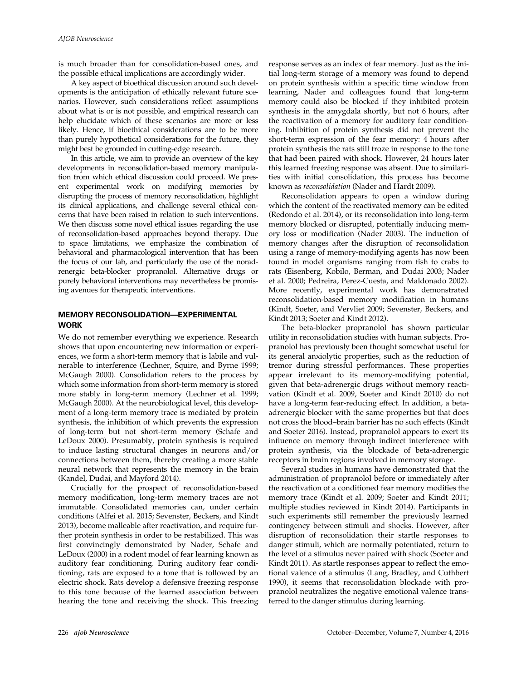is much broader than for consolidation-based ones, and the possible ethical implications are accordingly wider.

A key aspect of bioethical discussion around such developments is the anticipation of ethically relevant future scenarios. However, such considerations reflect assumptions about what is or is not possible, and empirical research can help elucidate which of these scenarios are more or less likely. Hence, if bioethical considerations are to be more than purely hypothetical considerations for the future, they might best be grounded in cutting-edge research.

In this article, we aim to provide an overview of the key developments in reconsolidation-based memory manipulation from which ethical discussion could proceed. We present experimental work on modifying memories by disrupting the process of memory reconsolidation, highlight its clinical applications, and challenge several ethical concerns that have been raised in relation to such interventions. We then discuss some novel ethical issues regarding the use of reconsolidation-based approaches beyond therapy. Due to space limitations, we emphasize the combination of behavioral and pharmacological intervention that has been the focus of our lab, and particularly the use of the noradrenergic beta-blocker propranolol. Alternative drugs or purely behavioral interventions may nevertheless be promising avenues for therapeutic interventions.

#### MEMORY RECONSOLIDATION—EXPERIMENTAL **WORK**

We do not remember everything we experience. Research shows that upon encountering new information or experiences, we form a short-term memory that is labile and vulnerable to interference (Lechner, Squire, and Byrne 1999; McGaugh 2000). Consolidation refers to the process by which some information from short-term memory is stored more stably in long-term memory (Lechner et al. 1999; McGaugh 2000). At the neurobiological level, this development of a long-term memory trace is mediated by protein synthesis, the inhibition of which prevents the expression of long-term but not short-term memory (Schafe and LeDoux 2000). Presumably, protein synthesis is required to induce lasting structural changes in neurons and/or connections between them, thereby creating a more stable neural network that represents the memory in the brain (Kandel, Dudai, and Mayford 2014).

Crucially for the prospect of reconsolidation-based memory modification, long-term memory traces are not immutable. Consolidated memories can, under certain conditions (Alfei et al. 2015; Sevenster, Beckers, and Kindt 2013), become malleable after reactivation, and require further protein synthesis in order to be restabilized. This was first convincingly demonstrated by Nader, Schafe and LeDoux (2000) in a rodent model of fear learning known as auditory fear conditioning. During auditory fear conditioning, rats are exposed to a tone that is followed by an electric shock. Rats develop a defensive freezing response to this tone because of the learned association between hearing the tone and receiving the shock. This freezing response serves as an index of fear memory. Just as the initial long-term storage of a memory was found to depend on protein synthesis within a specific time window from learning, Nader and colleagues found that long-term memory could also be blocked if they inhibited protein synthesis in the amygdala shortly, but not 6 hours, after the reactivation of a memory for auditory fear conditioning. Inhibition of protein synthesis did not prevent the short-term expression of the fear memory: 4 hours after protein synthesis the rats still froze in response to the tone that had been paired with shock. However, 24 hours later this learned freezing response was absent. Due to similarities with initial consolidation, this process has become known as reconsolidation (Nader and Hardt 2009).

Reconsolidation appears to open a window during which the content of the reactivated memory can be edited (Redondo et al. 2014), or its reconsolidation into long-term memory blocked or disrupted, potentially inducing memory loss or modification (Nader 2003). The induction of memory changes after the disruption of reconsolidation using a range of memory-modifying agents has now been found in model organisms ranging from fish to crabs to rats (Eisenberg, Kobilo, Berman, and Dudai 2003; Nader et al. 2000; Pedreira, Perez-Cuesta, and Maldonado 2002). More recently, experimental work has demonstrated reconsolidation-based memory modification in humans (Kindt, Soeter, and Vervliet 2009; Sevenster, Beckers, and Kindt 2013; Soeter and Kindt 2012).

The beta-blocker propranolol has shown particular utility in reconsolidation studies with human subjects. Propranolol has previously been thought somewhat useful for its general anxiolytic properties, such as the reduction of tremor during stressful performances. These properties appear irrelevant to its memory-modifying potential, given that beta-adrenergic drugs without memory reactivation (Kindt et al. 2009, Soeter and Kindt 2010) do not have a long-term fear-reducing effect. In addition, a betaadrenergic blocker with the same properties but that does not cross the blood–brain barrier has no such effects (Kindt and Soeter 2016). Instead, propranolol appears to exert its influence on memory through indirect interference with protein synthesis, via the blockade of beta-adrenergic receptors in brain regions involved in memory storage.

Several studies in humans have demonstrated that the administration of propranolol before or immediately after the reactivation of a conditioned fear memory modifies the memory trace (Kindt et al. 2009; Soeter and Kindt 2011; multiple studies reviewed in Kindt 2014). Participants in such experiments still remember the previously learned contingency between stimuli and shocks. However, after disruption of reconsolidation their startle responses to danger stimuli, which are normally potentiated, return to the level of a stimulus never paired with shock (Soeter and Kindt 2011). As startle responses appear to reflect the emotional valence of a stimulus (Lang, Bradley, and Cuthbert 1990), it seems that reconsolidation blockade with propranolol neutralizes the negative emotional valence transferred to the danger stimulus during learning.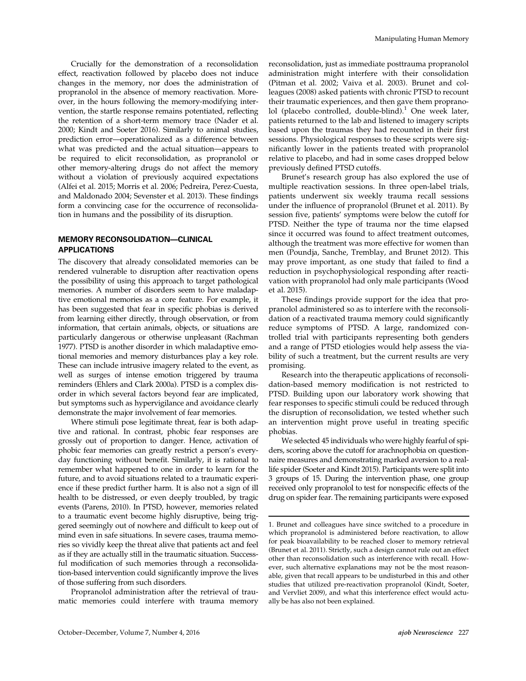Crucially for the demonstration of a reconsolidation effect, reactivation followed by placebo does not induce changes in the memory, nor does the administration of propranolol in the absence of memory reactivation. Moreover, in the hours following the memory-modifying intervention, the startle response remains potentiated, reflecting the retention of a short-term memory trace (Nader et al. 2000; Kindt and Soeter 2016). Similarly to animal studies, prediction error—operationalized as a difference between what was predicted and the actual situation—appears to be required to elicit reconsolidation, as propranolol or other memory-altering drugs do not affect the memory without a violation of previously acquired expectations (Alfei et al. 2015; Morris et al. 2006; Pedreira, Perez-Cuesta, and Maldonado 2004; Sevenster et al. 2013). These findings form a convincing case for the occurrence of reconsolidation in humans and the possibility of its disruption.

#### MEMORY RECONSOLIDATION—CLINICAL APPLICATIONS

The discovery that already consolidated memories can be rendered vulnerable to disruption after reactivation opens the possibility of using this approach to target pathological memories. A number of disorders seem to have maladaptive emotional memories as a core feature. For example, it has been suggested that fear in specific phobias is derived from learning either directly, through observation, or from information, that certain animals, objects, or situations are particularly dangerous or otherwise unpleasant (Rachman 1977). PTSD is another disorder in which maladaptive emotional memories and memory disturbances play a key role. These can include intrusive imagery related to the event, as well as surges of intense emotion triggered by trauma reminders (Ehlers and Clark 2000a). PTSD is a complex disorder in which several factors beyond fear are implicated, but symptoms such as hypervigilance and avoidance clearly demonstrate the major involvement of fear memories.

Where stimuli pose legitimate threat, fear is both adaptive and rational. In contrast, phobic fear responses are grossly out of proportion to danger. Hence, activation of phobic fear memories can greatly restrict a person's everyday functioning without benefit. Similarly, it is rational to remember what happened to one in order to learn for the future, and to avoid situations related to a traumatic experience if these predict further harm. It is also not a sign of ill health to be distressed, or even deeply troubled, by tragic events (Parens, 2010). In PTSD, however, memories related to a traumatic event become highly disruptive, being triggered seemingly out of nowhere and difficult to keep out of mind even in safe situations. In severe cases, trauma memories so vividly keep the threat alive that patients act and feel as if they are actually still in the traumatic situation. Successful modification of such memories through a reconsolidation-based intervention could significantly improve the lives of those suffering from such disorders.

Propranolol administration after the retrieval of traumatic memories could interfere with trauma memory reconsolidation, just as immediate posttrauma propranolol administration might interfere with their consolidation (Pitman et al. 2002; Vaiva et al. 2003). Brunet and colleagues (2008) asked patients with chronic PTSD to recount their traumatic experiences, and then gave them propranolol (placebo controlled, double-blind).<sup>1</sup> One week later, patients returned to the lab and listened to imagery scripts based upon the traumas they had recounted in their first sessions. Physiological responses to these scripts were significantly lower in the patients treated with propranolol relative to placebo, and had in some cases dropped below previously defined PTSD cutoffs.

Brunet's research group has also explored the use of multiple reactivation sessions. In three open-label trials, patients underwent six weekly trauma recall sessions under the influence of propranolol (Brunet et al. 2011). By session five, patients' symptoms were below the cutoff for PTSD. Neither the type of trauma nor the time elapsed since it occurred was found to affect treatment outcomes, although the treatment was more effective for women than men (Poundja, Sanche, Tremblay, and Brunet 2012). This may prove important, as one study that failed to find a reduction in psychophysiological responding after reactivation with propranolol had only male participants (Wood et al. 2015).

These findings provide support for the idea that propranolol administered so as to interfere with the reconsolidation of a reactivated trauma memory could significantly reduce symptoms of PTSD. A large, randomized controlled trial with participants representing both genders and a range of PTSD etiologies would help assess the viability of such a treatment, but the current results are very promising.

Research into the therapeutic applications of reconsolidation-based memory modification is not restricted to PTSD. Building upon our laboratory work showing that fear responses to specific stimuli could be reduced through the disruption of reconsolidation, we tested whether such an intervention might prove useful in treating specific phobias.

We selected 45 individuals who were highly fearful of spiders, scoring above the cutoff for arachnophobia on questionnaire measures and demonstrating marked aversion to a reallife spider (Soeter and Kindt 2015). Participants were split into 3 groups of 15. During the intervention phase, one group received only propranolol to test for nonspecific effects of the drug on spider fear. The remaining participants were exposed

<sup>1.</sup> Brunet and colleagues have since switched to a procedure in which propranolol is administered before reactivation, to allow for peak bioavailability to be reached closer to memory retrieval (Brunet et al. 2011). Strictly, such a design cannot rule out an effect other than reconsolidation such as interference with recall. However, such alternative explanations may not be the most reasonable, given that recall appears to be undisturbed in this and other studies that utilized pre-reactivation propranolol (Kindt, Soeter, and Vervliet 2009), and what this interference effect would actually be has also not been explained.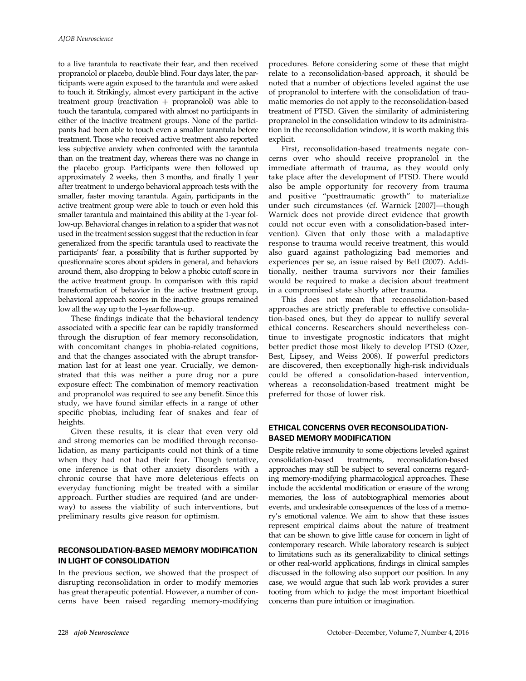to a live tarantula to reactivate their fear, and then received propranolol or placebo, double blind. Four days later, the participants were again exposed to the tarantula and were asked to touch it. Strikingly, almost every participant in the active treatment group (reactivation  $+$  propranolol) was able to touch the tarantula, compared with almost no participants in either of the inactive treatment groups. None of the participants had been able to touch even a smaller tarantula before treatment. Those who received active treatment also reported less subjective anxiety when confronted with the tarantula than on the treatment day, whereas there was no change in the placebo group. Participants were then followed up approximately 2 weeks, then 3 months, and finally 1 year after treatment to undergo behavioral approach tests with the smaller, faster moving tarantula. Again, participants in the active treatment group were able to touch or even hold this smaller tarantula and maintained this ability at the 1-year follow-up. Behavioral changes in relation to a spider that was not used in the treatment session suggest that the reduction in fear generalized from the specific tarantula used to reactivate the participants' fear, a possibility that is further supported by questionnaire scores about spiders in general, and behaviors around them, also dropping to below a phobic cutoff score in the active treatment group. In comparison with this rapid transformation of behavior in the active treatment group, behavioral approach scores in the inactive groups remained low all the way up to the 1-year follow-up.

These findings indicate that the behavioral tendency associated with a specific fear can be rapidly transformed through the disruption of fear memory reconsolidation, with concomitant changes in phobia-related cognitions, and that the changes associated with the abrupt transformation last for at least one year. Crucially, we demonstrated that this was neither a pure drug nor a pure exposure effect: The combination of memory reactivation and propranolol was required to see any benefit. Since this study, we have found similar effects in a range of other specific phobias, including fear of snakes and fear of heights.

Given these results, it is clear that even very old and strong memories can be modified through reconsolidation, as many participants could not think of a time when they had not had their fear. Though tentative, one inference is that other anxiety disorders with a chronic course that have more deleterious effects on everyday functioning might be treated with a similar approach. Further studies are required (and are underway) to assess the viability of such interventions, but preliminary results give reason for optimism.

#### RECONSOLIDATION-BASED MEMORY MODIFICATION IN LIGHT OF CONSOLIDATION

In the previous section, we showed that the prospect of disrupting reconsolidation in order to modify memories has great therapeutic potential. However, a number of concerns have been raised regarding memory-modifying procedures. Before considering some of these that might relate to a reconsolidation-based approach, it should be noted that a number of objections leveled against the use of propranolol to interfere with the consolidation of traumatic memories do not apply to the reconsolidation-based treatment of PTSD. Given the similarity of administering propranolol in the consolidation window to its administration in the reconsolidation window, it is worth making this explicit.

First, reconsolidation-based treatments negate concerns over who should receive propranolol in the immediate aftermath of trauma, as they would only take place after the development of PTSD. There would also be ample opportunity for recovery from trauma and positive "posttraumatic growth" to materialize under such circumstances (cf. Warnick [2007]—though Warnick does not provide direct evidence that growth could not occur even with a consolidation-based intervention). Given that only those with a maladaptive response to trauma would receive treatment, this would also guard against pathologizing bad memories and experiences per se, an issue raised by Bell (2007). Additionally, neither trauma survivors nor their families would be required to make a decision about treatment in a compromised state shortly after trauma.

This does not mean that reconsolidation-based approaches are strictly preferable to effective consolidation-based ones, but they do appear to nullify several ethical concerns. Researchers should nevertheless continue to investigate prognostic indicators that might better predict those most likely to develop PTSD (Ozer, Best, Lipsey, and Weiss 2008). If powerful predictors are discovered, then exceptionally high-risk individuals could be offered a consolidation-based intervention, whereas a reconsolidation-based treatment might be preferred for those of lower risk.

#### ETHICAL CONCERNS OVER RECONSOLIDATION-BASED MEMORY MODIFICATION

Despite relative immunity to some objections leveled against consolidation-based treatments, reconsolidation-based approaches may still be subject to several concerns regarding memory-modifying pharmacological approaches. These include the accidental modification or erasure of the wrong memories, the loss of autobiographical memories about events, and undesirable consequences of the loss of a memory's emotional valence. We aim to show that these issues represent empirical claims about the nature of treatment that can be shown to give little cause for concern in light of contemporary research. While laboratory research is subject to limitations such as its generalizability to clinical settings or other real-world applications, findings in clinical samples discussed in the following also support our position. In any case, we would argue that such lab work provides a surer footing from which to judge the most important bioethical concerns than pure intuition or imagination.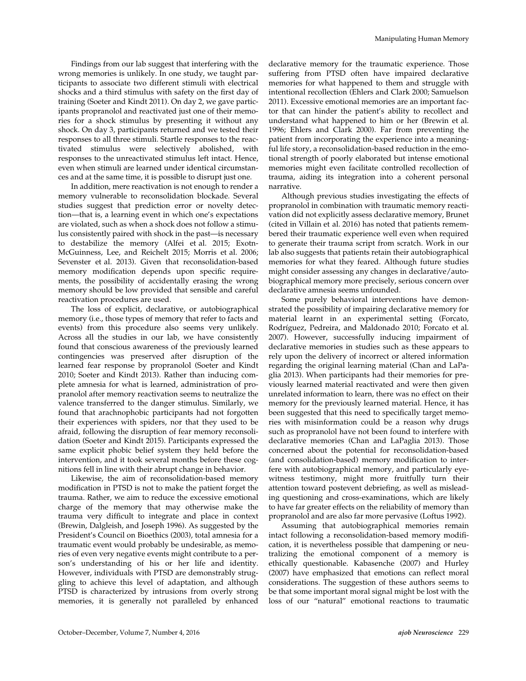Findings from our lab suggest that interfering with the wrong memories is unlikely. In one study, we taught participants to associate two different stimuli with electrical shocks and a third stimulus with safety on the first day of training (Soeter and Kindt 2011). On day 2, we gave participants propranolol and reactivated just one of their memories for a shock stimulus by presenting it without any shock. On day 3, participants returned and we tested their responses to all three stimuli. Startle responses to the reactivated stimulus were selectively abolished, with responses to the unreactivated stimulus left intact. Hence, even when stimuli are learned under identical circumstances and at the same time, it is possible to disrupt just one.

In addition, mere reactivation is not enough to render a memory vulnerable to reconsolidation blockade. Several studies suggest that prediction error or novelty detection—that is, a learning event in which one's expectations are violated, such as when a shock does not follow a stimulus consistently paired with shock in the past—is necessary to destabilize the memory (Alfei et al. 2015; Exotn-McGuinness, Lee, and Reichelt 2015; Morris et al. 2006; Sevenster et al. 2013). Given that reconsolidation-based memory modification depends upon specific requirements, the possibility of accidentally erasing the wrong memory should be low provided that sensible and careful reactivation procedures are used.

The loss of explicit, declarative, or autobiographical memory (i.e., those types of memory that refer to facts and events) from this procedure also seems very unlikely. Across all the studies in our lab, we have consistently found that conscious awareness of the previously learned contingencies was preserved after disruption of the learned fear response by propranolol (Soeter and Kindt 2010; Soeter and Kindt 2013). Rather than inducing complete amnesia for what is learned, administration of propranolol after memory reactivation seems to neutralize the valence transferred to the danger stimulus. Similarly, we found that arachnophobic participants had not forgotten their experiences with spiders, nor that they used to be afraid, following the disruption of fear memory reconsolidation (Soeter and Kindt 2015). Participants expressed the same explicit phobic belief system they held before the intervention, and it took several months before these cognitions fell in line with their abrupt change in behavior.

Likewise, the aim of reconsolidation-based memory modification in PTSD is not to make the patient forget the trauma. Rather, we aim to reduce the excessive emotional charge of the memory that may otherwise make the trauma very difficult to integrate and place in context (Brewin, Dalgleish, and Joseph 1996). As suggested by the President's Council on Bioethics (2003), total amnesia for a traumatic event would probably be undesirable, as memories of even very negative events might contribute to a person's understanding of his or her life and identity. However, individuals with PTSD are demonstrably struggling to achieve this level of adaptation, and although PTSD is characterized by intrusions from overly strong memories, it is generally not paralleled by enhanced

declarative memory for the traumatic experience. Those suffering from PTSD often have impaired declarative memories for what happened to them and struggle with intentional recollection (Ehlers and Clark 2000; Samuelson 2011). Excessive emotional memories are an important factor that can hinder the patient's ability to recollect and understand what happened to him or her (Brewin et al. 1996; Ehlers and Clark 2000). Far from preventing the patient from incorporating the experience into a meaningful life story, a reconsolidation-based reduction in the emotional strength of poorly elaborated but intense emotional memories might even facilitate controlled recollection of trauma, aiding its integration into a coherent personal narrative.

Although previous studies investigating the effects of propranolol in combination with traumatic memory reactivation did not explicitly assess declarative memory, Brunet (cited in Villain et al. 2016) has noted that patients remembered their traumatic experience well even when required to generate their trauma script from scratch. Work in our lab also suggests that patients retain their autobiographical memories for what they feared. Although future studies might consider assessing any changes in declarative/autobiographical memory more precisely, serious concern over declarative amnesia seems unfounded.

Some purely behavioral interventions have demonstrated the possibility of impairing declarative memory for material learnt in an experimental setting (Forcato, Rodríguez, Pedreira, and Maldonado 2010; Forcato et al. 2007). However, successfully inducing impairment of declarative memories in studies such as these appears to rely upon the delivery of incorrect or altered information regarding the original learning material (Chan and LaPaglia 2013). When participants had their memories for previously learned material reactivated and were then given unrelated information to learn, there was no effect on their memory for the previously learned material. Hence, it has been suggested that this need to specifically target memories with misinformation could be a reason why drugs such as propranolol have not been found to interfere with declarative memories (Chan and LaPaglia 2013). Those concerned about the potential for reconsolidation-based (and consolidation-based) memory modification to interfere with autobiographical memory, and particularly eyewitness testimony, might more fruitfully turn their attention toward postevent debriefing, as well as misleading questioning and cross-examinations, which are likely to have far greater effects on the reliability of memory than propranolol and are also far more pervasive (Loftus 1992).

Assuming that autobiographical memories remain intact following a reconsolidation-based memory modification, it is nevertheless possible that dampening or neutralizing the emotional component of a memory is ethically questionable. Kabasenche (2007) and Hurley (2007) have emphasized that emotions can reflect moral considerations. The suggestion of these authors seems to be that some important moral signal might be lost with the loss of our "natural" emotional reactions to traumatic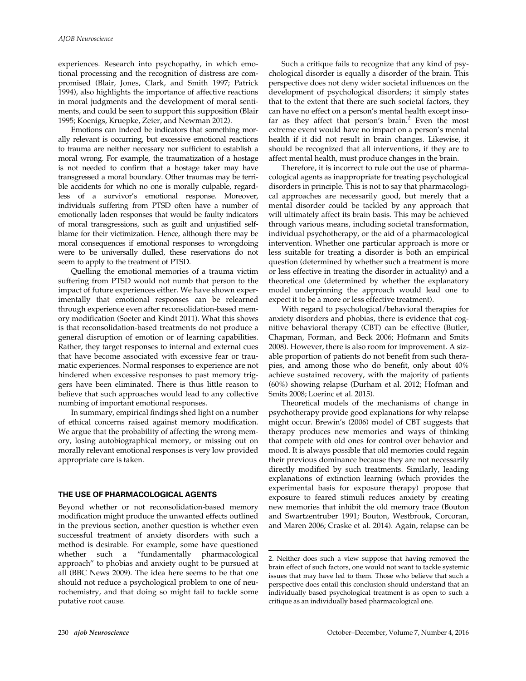experiences. Research into psychopathy, in which emotional processing and the recognition of distress are compromised (Blair, Jones, Clark, and Smith 1997; Patrick 1994), also highlights the importance of affective reactions in moral judgments and the development of moral sentiments, and could be seen to support this supposition (Blair 1995; Koenigs, Kruepke, Zeier, and Newman 2012).

Emotions can indeed be indicators that something morally relevant is occurring, but excessive emotional reactions to trauma are neither necessary nor sufficient to establish a moral wrong. For example, the traumatization of a hostage is not needed to confirm that a hostage taker may have transgressed a moral boundary. Other traumas may be terrible accidents for which no one is morally culpable, regardless of a survivor's emotional response. Moreover, individuals suffering from PTSD often have a number of emotionally laden responses that would be faulty indicators of moral transgressions, such as guilt and unjustified selfblame for their victimization. Hence, although there may be moral consequences if emotional responses to wrongdoing were to be universally dulled, these reservations do not seem to apply to the treatment of PTSD.

Quelling the emotional memories of a trauma victim suffering from PTSD would not numb that person to the impact of future experiences either. We have shown experimentally that emotional responses can be relearned through experience even after reconsolidation-based memory modification (Soeter and Kindt 2011). What this shows is that reconsolidation-based treatments do not produce a general disruption of emotion or of learning capabilities. Rather, they target responses to internal and external cues that have become associated with excessive fear or traumatic experiences. Normal responses to experience are not hindered when excessive responses to past memory triggers have been eliminated. There is thus little reason to believe that such approaches would lead to any collective numbing of important emotional responses.

In summary, empirical findings shed light on a number of ethical concerns raised against memory modification. We argue that the probability of affecting the wrong memory, losing autobiographical memory, or missing out on morally relevant emotional responses is very low provided appropriate care is taken.

#### THE USE OF PHARMACOLOGICAL AGENTS

Beyond whether or not reconsolidation-based memory modification might produce the unwanted effects outlined in the previous section, another question is whether even successful treatment of anxiety disorders with such a method is desirable. For example, some have questioned whether such a "fundamentally pharmacological approach" to phobias and anxiety ought to be pursued at all (BBC News 2009). The idea here seems to be that one should not reduce a psychological problem to one of neurochemistry, and that doing so might fail to tackle some putative root cause.

Such a critique fails to recognize that any kind of psychological disorder is equally a disorder of the brain. This perspective does not deny wider societal influences on the development of psychological disorders; it simply states that to the extent that there are such societal factors, they can have no effect on a person's mental health except insofar as they affect that person's brain.<sup>2</sup> Even the most extreme event would have no impact on a person's mental health if it did not result in brain changes. Likewise, it should be recognized that all interventions, if they are to affect mental health, must produce changes in the brain.

Therefore, it is incorrect to rule out the use of pharmacological agents as inappropriate for treating psychological disorders in principle. This is not to say that pharmacological approaches are necessarily good, but merely that a mental disorder could be tackled by any approach that will ultimately affect its brain basis. This may be achieved through various means, including societal transformation, individual psychotherapy, or the aid of a pharmacological intervention. Whether one particular approach is more or less suitable for treating a disorder is both an empirical question (determined by whether such a treatment is more or less effective in treating the disorder in actuality) and a theoretical one (determined by whether the explanatory model underpinning the approach would lead one to expect it to be a more or less effective treatment).

With regard to psychological/behavioral therapies for anxiety disorders and phobias, there is evidence that cognitive behavioral therapy (CBT) can be effective (Butler, Chapman, Forman, and Beck 2006; Hofmann and Smits 2008). However, there is also room for improvement. A sizable proportion of patients do not benefit from such therapies, and among those who do benefit, only about 40% achieve sustained recovery, with the majority of patients (60%) showing relapse (Durham et al. 2012; Hofman and Smits 2008; Loerinc et al. 2015).

Theoretical models of the mechanisms of change in psychotherapy provide good explanations for why relapse might occur. Brewin's (2006) model of CBT suggests that therapy produces new memories and ways of thinking that compete with old ones for control over behavior and mood. It is always possible that old memories could regain their previous dominance because they are not necessarily directly modified by such treatments. Similarly, leading explanations of extinction learning (which provides the experimental basis for exposure therapy) propose that exposure to feared stimuli reduces anxiety by creating new memories that inhibit the old memory trace (Bouton and Swartzentruber 1991; Bouton, Westbrook, Corcoran, and Maren 2006; Craske et al. 2014). Again, relapse can be

<sup>2.</sup> Neither does such a view suppose that having removed the brain effect of such factors, one would not want to tackle systemic issues that may have led to them. Those who believe that such a perspective does entail this conclusion should understand that an individually based psychological treatment is as open to such a critique as an individually based pharmacological one.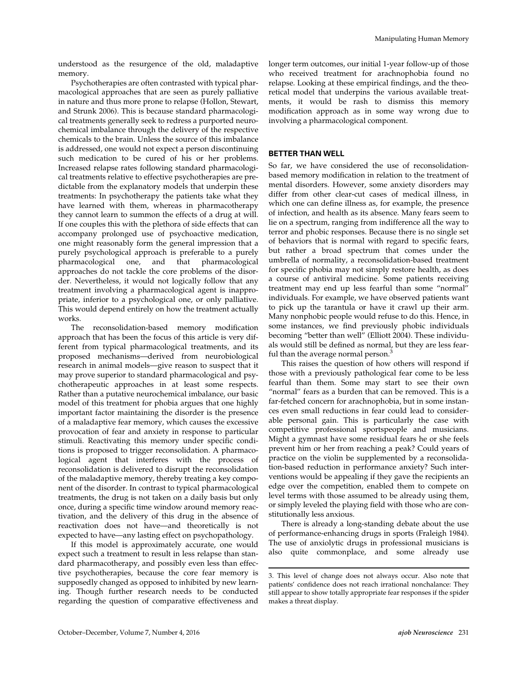understood as the resurgence of the old, maladaptive memory.

Psychotherapies are often contrasted with typical pharmacological approaches that are seen as purely palliative in nature and thus more prone to relapse (Hollon, Stewart, and Strunk 2006). This is because standard pharmacological treatments generally seek to redress a purported neurochemical imbalance through the delivery of the respective chemicals to the brain. Unless the source of this imbalance is addressed, one would not expect a person discontinuing such medication to be cured of his or her problems. Increased relapse rates following standard pharmacological treatments relative to effective psychotherapies are predictable from the explanatory models that underpin these treatments: In psychotherapy the patients take what they have learned with them, whereas in pharmacotherapy they cannot learn to summon the effects of a drug at will. If one couples this with the plethora of side effects that can accompany prolonged use of psychoactive medication, one might reasonably form the general impression that a purely psychological approach is preferable to a purely pharmacological one, and that pharmacological approaches do not tackle the core problems of the disorder. Nevertheless, it would not logically follow that any treatment involving a pharmacological agent is inappropriate, inferior to a psychological one, or only palliative. This would depend entirely on how the treatment actually works.

The reconsolidation-based memory modification approach that has been the focus of this article is very different from typical pharmacological treatments, and its proposed mechanisms—derived from neurobiological research in animal models—give reason to suspect that it may prove superior to standard pharmacological and psychotherapeutic approaches in at least some respects. Rather than a putative neurochemical imbalance, our basic model of this treatment for phobia argues that one highly important factor maintaining the disorder is the presence of a maladaptive fear memory, which causes the excessive provocation of fear and anxiety in response to particular stimuli. Reactivating this memory under specific conditions is proposed to trigger reconsolidation. A pharmacological agent that interferes with the process of reconsolidation is delivered to disrupt the reconsolidation of the maladaptive memory, thereby treating a key component of the disorder. In contrast to typical pharmacological treatments, the drug is not taken on a daily basis but only once, during a specific time window around memory reactivation, and the delivery of this drug in the absence of reactivation does not have—and theoretically is not expected to have—any lasting effect on psychopathology.

If this model is approximately accurate, one would expect such a treatment to result in less relapse than standard pharmacotherapy, and possibly even less than effective psychotherapies, because the core fear memory is supposedly changed as opposed to inhibited by new learning. Though further research needs to be conducted regarding the question of comparative effectiveness and longer term outcomes, our initial 1-year follow-up of those who received treatment for arachnophobia found no relapse. Looking at these empirical findings, and the theoretical model that underpins the various available treatments, it would be rash to dismiss this memory modification approach as in some way wrong due to involving a pharmacological component.

#### BETTER THAN WELL

So far, we have considered the use of reconsolidationbased memory modification in relation to the treatment of mental disorders. However, some anxiety disorders may differ from other clear-cut cases of medical illness, in which one can define illness as, for example, the presence of infection, and health as its absence. Many fears seem to lie on a spectrum, ranging from indifference all the way to terror and phobic responses. Because there is no single set of behaviors that is normal with regard to specific fears, but rather a broad spectrum that comes under the umbrella of normality, a reconsolidation-based treatment for specific phobia may not simply restore health, as does a course of antiviral medicine. Some patients receiving treatment may end up less fearful than some "normal" individuals. For example, we have observed patients want to pick up the tarantula or have it crawl up their arm. Many nonphobic people would refuse to do this. Hence, in some instances, we find previously phobic individuals becoming "better than well" (Elliott 2004). These individuals would still be defined as normal, but they are less fearful than the average normal person.<sup>3</sup>

This raises the question of how others will respond if those with a previously pathological fear come to be less fearful than them. Some may start to see their own "normal" fears as a burden that can be removed. This is a far-fetched concern for arachnophobia, but in some instances even small reductions in fear could lead to considerable personal gain. This is particularly the case with competitive professional sportspeople and musicians. Might a gymnast have some residual fears he or she feels prevent him or her from reaching a peak? Could years of practice on the violin be supplemented by a reconsolidation-based reduction in performance anxiety? Such interventions would be appealing if they gave the recipients an edge over the competition, enabled them to compete on level terms with those assumed to be already using them, or simply leveled the playing field with those who are constitutionally less anxious.

There is already a long-standing debate about the use of performance-enhancing drugs in sports (Fraleigh 1984). The use of anxiolytic drugs in professional musicians is also quite commonplace, and some already use

<sup>3.</sup> This level of change does not always occur. Also note that patients' confidence does not reach irrational nonchalance: They still appear to show totally appropriate fear responses if the spider makes a threat display.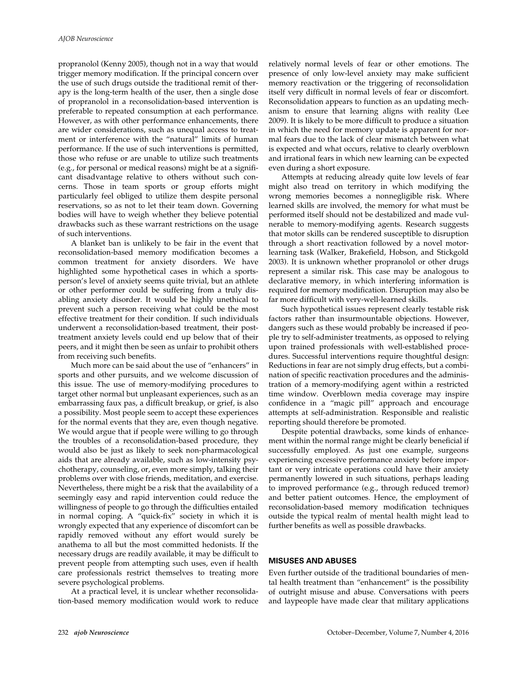propranolol (Kenny 2005), though not in a way that would trigger memory modification. If the principal concern over the use of such drugs outside the traditional remit of therapy is the long-term health of the user, then a single dose of propranolol in a reconsolidation-based intervention is preferable to repeated consumption at each performance. However, as with other performance enhancements, there are wider considerations, such as unequal access to treatment or interference with the "natural" limits of human performance. If the use of such interventions is permitted, those who refuse or are unable to utilize such treatments (e.g., for personal or medical reasons) might be at a significant disadvantage relative to others without such concerns. Those in team sports or group efforts might particularly feel obliged to utilize them despite personal reservations, so as not to let their team down. Governing bodies will have to weigh whether they believe potential drawbacks such as these warrant restrictions on the usage of such interventions.

A blanket ban is unlikely to be fair in the event that reconsolidation-based memory modification becomes a common treatment for anxiety disorders. We have highlighted some hypothetical cases in which a sportsperson's level of anxiety seems quite trivial, but an athlete or other performer could be suffering from a truly disabling anxiety disorder. It would be highly unethical to prevent such a person receiving what could be the most effective treatment for their condition. If such individuals underwent a reconsolidation-based treatment, their posttreatment anxiety levels could end up below that of their peers, and it might then be seen as unfair to prohibit others from receiving such benefits.

Much more can be said about the use of "enhancers" in sports and other pursuits, and we welcome discussion of this issue. The use of memory-modifying procedures to target other normal but unpleasant experiences, such as an embarrassing faux pas, a difficult breakup, or grief, is also a possibility. Most people seem to accept these experiences for the normal events that they are, even though negative. We would argue that if people were willing to go through the troubles of a reconsolidation-based procedure, they would also be just as likely to seek non-pharmacological aids that are already available, such as low-intensity psychotherapy, counseling, or, even more simply, talking their problems over with close friends, meditation, and exercise. Nevertheless, there might be a risk that the availability of a seemingly easy and rapid intervention could reduce the willingness of people to go through the difficulties entailed in normal coping. A "quick-fix" society in which it is wrongly expected that any experience of discomfort can be rapidly removed without any effort would surely be anathema to all but the most committed hedonists. If the necessary drugs are readily available, it may be difficult to prevent people from attempting such uses, even if health care professionals restrict themselves to treating more severe psychological problems.

At a practical level, it is unclear whether reconsolidation-based memory modification would work to reduce relatively normal levels of fear or other emotions. The presence of only low-level anxiety may make sufficient memory reactivation or the triggering of reconsolidation itself very difficult in normal levels of fear or discomfort. Reconsolidation appears to function as an updating mechanism to ensure that learning aligns with reality (Lee 2009). It is likely to be more difficult to produce a situation in which the need for memory update is apparent for normal fears due to the lack of clear mismatch between what is expected and what occurs, relative to clearly overblown and irrational fears in which new learning can be expected even during a short exposure.

Attempts at reducing already quite low levels of fear might also tread on territory in which modifying the wrong memories becomes a nonnegligible risk. Where learned skills are involved, the memory for what must be performed itself should not be destabilized and made vulnerable to memory-modifying agents. Research suggests that motor skills can be rendered susceptible to disruption through a short reactivation followed by a novel motorlearning task (Walker, Brakefield, Hobson, and Stickgold 2003). It is unknown whether propranolol or other drugs represent a similar risk. This case may be analogous to declarative memory, in which interfering information is required for memory modification. Disruption may also be far more difficult with very-well-learned skills.

Such hypothetical issues represent clearly testable risk factors rather than insurmountable objections. However, dangers such as these would probably be increased if people try to self-administer treatments, as opposed to relying upon trained professionals with well-established procedures. Successful interventions require thoughtful design: Reductions in fear are not simply drug effects, but a combination of specific reactivation procedures and the administration of a memory-modifying agent within a restricted time window. Overblown media coverage may inspire confidence in a "magic pill" approach and encourage attempts at self-administration. Responsible and realistic reporting should therefore be promoted.

Despite potential drawbacks, some kinds of enhancement within the normal range might be clearly beneficial if successfully employed. As just one example, surgeons experiencing excessive performance anxiety before important or very intricate operations could have their anxiety permanently lowered in such situations, perhaps leading to improved performance (e.g., through reduced tremor) and better patient outcomes. Hence, the employment of reconsolidation-based memory modification techniques outside the typical realm of mental health might lead to further benefits as well as possible drawbacks.

#### MISUSES AND ABUSES

Even further outside of the traditional boundaries of mental health treatment than "enhancement" is the possibility of outright misuse and abuse. Conversations with peers and laypeople have made clear that military applications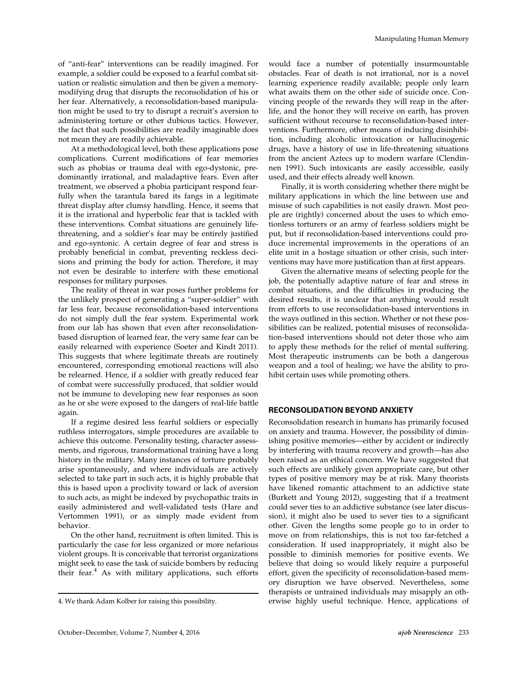of "anti-fear" interventions can be readily imagined. For example, a soldier could be exposed to a fearful combat situation or realistic simulation and then be given a memorymodifying drug that disrupts the reconsolidation of his or her fear. Alternatively, a reconsolidation-based manipulation might be used to try to disrupt a recruit's aversion to administering torture or other dubious tactics. However, the fact that such possibilities are readily imaginable does not mean they are readily achievable.

At a methodological level, both these applications pose complications. Current modifications of fear memories such as phobias or trauma deal with ego-dystonic, predominantly irrational, and maladaptive fears. Even after treatment, we observed a phobia participant respond fearfully when the tarantula bared its fangs in a legitimate threat display after clumsy handling. Hence, it seems that it is the irrational and hyperbolic fear that is tackled with these interventions. Combat situations are genuinely lifethreatening, and a soldier's fear may be entirely justified and ego-syntonic. A certain degree of fear and stress is probably beneficial in combat, preventing reckless decisions and priming the body for action. Therefore, it may not even be desirable to interfere with these emotional responses for military purposes.

The reality of threat in war poses further problems for the unlikely prospect of generating a "super-soldier" with far less fear, because reconsolidation-based interventions do not simply dull the fear system. Experimental work from our lab has shown that even after reconsolidationbased disruption of learned fear, the very same fear can be easily relearned with experience (Soeter and Kindt 2011). This suggests that where legitimate threats are routinely encountered, corresponding emotional reactions will also be relearned. Hence, if a soldier with greatly reduced fear of combat were successfully produced, that soldier would not be immune to developing new fear responses as soon as he or she were exposed to the dangers of real-life battle again.

If a regime desired less fearful soldiers or especially ruthless interrogators, simple procedures are available to achieve this outcome. Personality testing, character assessments, and rigorous, transformational training have a long history in the military. Many instances of torture probably arise spontaneously, and where individuals are actively selected to take part in such acts, it is highly probable that this is based upon a proclivity toward or lack of aversion to such acts, as might be indexed by psychopathic traits in easily administered and well-validated tests (Hare and Vertommen 1991), or as simply made evident from behavior.

On the other hand, recruitment is often limited. This is particularly the case for less organized or more nefarious violent groups. It is conceivable that terrorist organizations might seek to ease the task of suicide bombers by reducing their fear. $4$  As with military applications, such efforts would face a number of potentially insurmountable obstacles. Fear of death is not irrational, nor is a novel learning experience readily available; people only learn what awaits them on the other side of suicide once. Convincing people of the rewards they will reap in the afterlife, and the honor they will receive on earth, has proven sufficient without recourse to reconsolidation-based interventions. Furthermore, other means of inducing disinhibition, including alcoholic intoxication or hallucinogenic drugs, have a history of use in life-threatening situations from the ancient Aztecs up to modern warfare (Clendinnen 1991). Such intoxicants are easily accessible, easily used, and their effects already well known.

Finally, it is worth considering whether there might be military applications in which the line between use and misuse of such capabilities is not easily drawn. Most people are (rightly) concerned about the uses to which emotionless torturers or an army of fearless soldiers might be put, but if reconsolidation-based interventions could produce incremental improvements in the operations of an elite unit in a hostage situation or other crisis, such interventions may have more justification than at first appears.

Given the alternative means of selecting people for the job, the potentially adaptive nature of fear and stress in combat situations, and the difficulties in producing the desired results, it is unclear that anything would result from efforts to use reconsolidation-based interventions in the ways outlined in this section. Whether or not these possibilities can be realized, potential misuses of reconsolidation-based interventions should not deter those who aim to apply these methods for the relief of mental suffering. Most therapeutic instruments can be both a dangerous weapon and a tool of healing; we have the ability to prohibit certain uses while promoting others.

#### RECONSOLIDATION BEYOND ANXIETY

Reconsolidation research in humans has primarily focused on anxiety and trauma. However, the possibility of diminishing positive memories—either by accident or indirectly by interfering with trauma recovery and growth—has also been raised as an ethical concern. We have suggested that such effects are unlikely given appropriate care, but other types of positive memory may be at risk. Many theorists have likened romantic attachment to an addictive state (Burkett and Young 2012), suggesting that if a treatment could sever ties to an addictive substance (see later discussion), it might also be used to sever ties to a significant other. Given the lengths some people go to in order to move on from relationships, this is not too far-fetched a consideration. If used inappropriately, it might also be possible to diminish memories for positive events. We believe that doing so would likely require a purposeful effort, given the specificity of reconsolidation-based memory disruption we have observed. Nevertheless, some therapists or untrained individuals may misapply an oth-4. We thank Adam Kolber for raising this possibility. erwise highly useful technique. Hence, applications of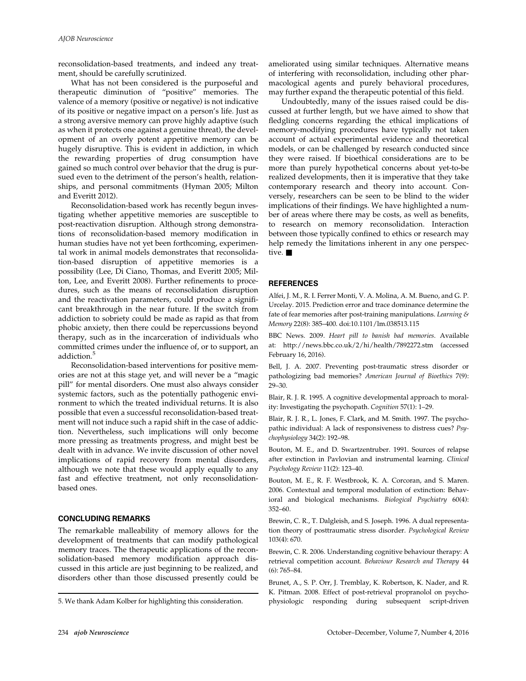reconsolidation-based treatments, and indeed any treatment, should be carefully scrutinized.

What has not been considered is the purposeful and therapeutic diminution of "positive" memories. The valence of a memory (positive or negative) is not indicative of its positive or negative impact on a person's life. Just as a strong aversive memory can prove highly adaptive (such as when it protects one against a genuine threat), the development of an overly potent appetitive memory can be hugely disruptive. This is evident in addiction, in which the rewarding properties of drug consumption have gained so much control over behavior that the drug is pursued even to the detriment of the person's health, relationships, and personal commitments (Hyman 2005; Milton and Everitt 2012).

Reconsolidation-based work has recently begun investigating whether appetitive memories are susceptible to post-reactivation disruption. Although strong demonstrations of reconsolidation-based memory modification in human studies have not yet been forthcoming, experimental work in animal models demonstrates that reconsolidation-based disruption of appetitive memories is a possibility (Lee, Di Ciano, Thomas, and Everitt 2005; Milton, Lee, and Everitt 2008). Further refinements to procedures, such as the means of reconsolidation disruption and the reactivation parameters, could produce a significant breakthrough in the near future. If the switch from addiction to sobriety could be made as rapid as that from phobic anxiety, then there could be repercussions beyond therapy, such as in the incarceration of individuals who committed crimes under the influence of, or to support, an addiction.<sup>5</sup>

Reconsolidation-based interventions for positive memories are not at this stage yet, and will never be a "magic pill" for mental disorders. One must also always consider systemic factors, such as the potentially pathogenic environment to which the treated individual returns. It is also possible that even a successful reconsolidation-based treatment will not induce such a rapid shift in the case of addiction. Nevertheless, such implications will only become more pressing as treatments progress, and might best be dealt with in advance. We invite discussion of other novel implications of rapid recovery from mental disorders, although we note that these would apply equally to any fast and effective treatment, not only reconsolidationbased ones.

#### CONCLUDING REMARKS

The remarkable malleability of memory allows for the development of treatments that can modify pathological memory traces. The therapeutic applications of the reconsolidation-based memory modification approach discussed in this article are just beginning to be realized, and disorders other than those discussed presently could be

ameliorated using similar techniques. Alternative means of interfering with reconsolidation, including other pharmacological agents and purely behavioral procedures, may further expand the therapeutic potential of this field.

Undoubtedly, many of the issues raised could be discussed at further length, but we have aimed to show that fledgling concerns regarding the ethical implications of memory-modifying procedures have typically not taken account of actual experimental evidence and theoretical models, or can be challenged by research conducted since they were raised. If bioethical considerations are to be more than purely hypothetical concerns about yet-to-be realized developments, then it is imperative that they take contemporary research and theory into account. Conversely, researchers can be seen to be blind to the wider implications of their findings. We have highlighted a number of areas where there may be costs, as well as benefits, to research on memory reconsolidation. Interaction between those typically confined to ethics or research may help remedy the limitations inherent in any one perspective.  $\blacksquare$ 

#### **REFERENCES**

Alfei, J. M., R. I. Ferrer Monti, V. A. Molina, A. M. Bueno, and G. P. Urcelay. 2015. Prediction error and trace dominance determine the fate of fear memories after post-training manipulations. Learning  $\mathcal S$ Memory 22(8): 385–400. doi:10.1101/lm.038513.115

BBC News. 2009. Heart pill to banish bad memories. Available at:<http://news.bbc.co.uk/2/hi/health/7892272.stm> (accessed February 16, 2016).

Bell, J. A. 2007. Preventing post-traumatic stress disorder or pathologizing bad memories? American Journal of Bioethics 7(9): 29–30.

Blair, R. J. R. 1995. A cognitive developmental approach to morality: Investigating the psychopath. Cognition 57(1): 1–29.

Blair, R. J. R., L. Jones, F. Clark, and M. Smith. 1997. The psychopathic individual: A lack of responsiveness to distress cues? Psychophysiology 34(2): 192–98.

Bouton, M. E., and D. Swartzentruber. 1991. Sources of relapse after extinction in Pavlovian and instrumental learning. Clinical Psychology Review 11(2): 123–40.

Bouton, M. E., R. F. Westbrook, K. A. Corcoran, and S. Maren. 2006. Contextual and temporal modulation of extinction: Behavioral and biological mechanisms. Biological Psychiatry 60(4): 352–60.

Brewin, C. R., T. Dalgleish, and S. Joseph. 1996. A dual representation theory of posttraumatic stress disorder. Psychological Review 103(4): 670.

Brewin, C. R. 2006. Understanding cognitive behaviour therapy: A retrieval competition account. Behaviour Research and Therapy 44 (6): 765–84.

Brunet, A., S. P. Orr, J. Tremblay, K. Robertson, K. Nader, and R. K. Pitman. 2008. Effect of post-retrieval propranolol on psycho-5. We thank Adam Kolber for highlighting this consideration. physiologic responding during subsequent script-driven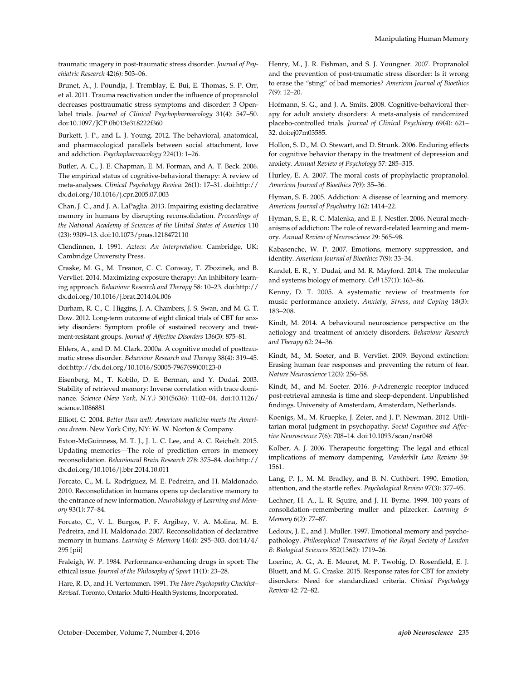traumatic imagery in post-traumatic stress disorder. Journal of Psychiatric Research 42(6): 503–06.

Brunet, A., J. Poundja, J. Tremblay, E. Bui, E. Thomas, S. P. Orr, et al. 2011. Trauma reactivation under the influence of propranolol decreases posttraumatic stress symptoms and disorder: 3 Openlabel trials. Journal of Clinical Psychopharmacology 31(4): 547–50. doi:10.1097/JCP.0b013e318222f360

Burkett, J. P., and L. J. Young. 2012. The behavioral, anatomical, and pharmacological parallels between social attachment, love and addiction. Psychopharmacology 224(1): 1–26.

Butler, A. C., J. E. Chapman, E. M. Forman, and A. T. Beck. 2006. The empirical status of cognitive-behavioral therapy: A review of meta-analyses. Clinical Psychology Review 26(1): 17–31. doi:http:// dx.doi.org/10.1016/j.cpr.2005.07.003

Chan, J. C., and J. A. LaPaglia. 2013. Impairing existing declarative memory in humans by disrupting reconsolidation. Proceedings of the National Academy of Sciences of the United States of America 110 (23): 9309–13. doi:10.1073/pnas.1218472110

Clendinnen, I. 1991. Aztecs: An interpretation. Cambridge, UK: Cambridge University Press.

Craske, M. G., M. Treanor, C. C. Conway, T. Zbozinek, and B. Vervliet. 2014. Maximizing exposure therapy: An inhibitory learning approach. Behaviour Research and Therapy 58: 10–23. doi:http:// dx.doi.org/10.1016/j.brat.2014.04.006

Durham, R. C., C. Higgins, J. A. Chambers, J. S. Swan, and M. G. T. Dow. 2012. Long-term outcome of eight clinical trials of CBT for anxiety disorders: Symptom profile of sustained recovery and treatment-resistant groups. Journal of Affective Disorders 136(3): 875–81.

Ehlers, A., and D. M. Clark. 2000a. A cognitive model of posttraumatic stress disorder. Behaviour Research and Therapy 38(4): 319–45. doi:http://dx.doi.org/10.1016/S0005-7967(99)00123-0

Eisenberg, M., T. Kobilo, D. E. Berman, and Y. Dudai. 2003. Stability of retrieved memory: Inverse correlation with trace dominance. Science (New York, N.Y.) 301(5636): 1102–04. doi:10.1126/ science.1086881

Elliott, C. 2004. Better than well: American medicine meets the American dream. New York City, NY: W. W. Norton & Company.

Exton-McGuinness, M. T. J., J. L. C. Lee, and A. C. Reichelt. 2015. Updating memories—The role of prediction errors in memory reconsolidation. Behavioural Brain Research 278: 375–84. doi:http:// dx.doi.org/10.1016/j.bbr.2014.10.011

Forcato, C., M. L. Rodríguez, M. E. Pedreira, and H. Maldonado. 2010. Reconsolidation in humans opens up declarative memory to the entrance of new information. Neurobiology of Learning and Memory 93(1): 77–84.

Forcato, C., V. L. Burgos, P. F. Argibay, V. A. Molina, M. E. Pedreira, and H. Maldonado. 2007. Reconsolidation of declarative memory in humans. Learning & Memory 14(4): 295-303. doi:14/4/ 295 [pii]

Fraleigh, W. P. 1984. Performance-enhancing drugs in sport: The ethical issue. Journal of the Philosophy of Sport 11(1): 23–28.

Hare, R. D., and H. Vertommen. 1991. The Hare Psychopathy Checklist-Revised. Toronto, Ontario: Multi-Health Systems, Incorporated.

Henry, M., J. R. Fishman, and S. J. Youngner. 2007. Propranolol and the prevention of post-traumatic stress disorder: Is it wrong to erase the "sting" of bad memories? American Journal of Bioethics 7(9): 12–20.

Hofmann, S. G., and J. A. Smits. 2008. Cognitive-behavioral therapy for adult anxiety disorders: A meta-analysis of randomized placebo-controlled trials. Journal of Clinical Psychiatry 69(4): 621– 32. doi:ej07m03585.

Hollon, S. D., M. O. Stewart, and D. Strunk. 2006. Enduring effects for cognitive behavior therapy in the treatment of depression and anxiety. Annual Review of Psychology 57: 285–315.

Hurley, E. A. 2007. The moral costs of prophylactic propranolol. American Journal of Bioethics 7(9): 35–36.

Hyman, S. E. 2005. Addiction: A disease of learning and memory. American Journal of Psychiatry 162: 1414–22.

Hyman, S. E., R. C. Malenka, and E. J. Nestler. 2006. Neural mechanisms of addiction: The role of reward-related learning and memory. Annual Review of Neuroscience 29: 565–98.

Kabasenche, W. P. 2007. Emotions, memory suppression, and identity. American Journal of Bioethics 7(9): 33–34.

Kandel, E. R., Y. Dudai, and M. R. Mayford. 2014. The molecular and systems biology of memory. Cell 157(1): 163–86.

Kenny, D. T. 2005. A systematic review of treatments for music performance anxiety. Anxiety, Stress, and Coping 18(3): 183–208.

Kindt, M. 2014. A behavioural neuroscience perspective on the aetiology and treatment of anxiety disorders. Behaviour Research and Therapy 62: 24–36.

Kindt, M., M. Soeter, and B. Vervliet. 2009. Beyond extinction: Erasing human fear responses and preventing the return of fear. Nature Neuroscience 12(3): 256–58.

Kindt, M., and M. Soeter. 2016.  $\beta$ -Adrenergic receptor induced post-retrieval amnesia is time and sleep-dependent. Unpublished findings. University of Amsterdam, Amsterdam, Netherlands.

Koenigs, M., M. Kruepke, J. Zeier, and J. P. Newman. 2012. Utilitarian moral judgment in psychopathy. Social Cognitive and Affective Neuroscience 7(6): 708–14. doi:10.1093/scan/nsr048

Kolber, A. J. 2006. Therapeutic forgetting: The legal and ethical implications of memory dampening. Vanderbilt Law Review 59: 1561.

Lang, P. J., M. M. Bradley, and B. N. Cuthbert. 1990. Emotion, attention, and the startle reflex. Psychological Review 97(3): 377–95.

Lechner, H. A., L. R. Squire, and J. H. Byrne. 1999. 100 years of consolidation–remembering muller and pilzecker. Learning & Memory 6(2): 77–87.

Ledoux, J. E., and J. Muller. 1997. Emotional memory and psychopathology. Philosophical Transactions of the Royal Society of London B: Biological Sciences 352(1362): 1719–26.

Loerinc, A. G., A. E. Meuret, M. P. Twohig, D. Rosenfield, E. J. Bluett, and M. G. Craske. 2015. Response rates for CBT for anxiety disorders: Need for standardized criteria. Clinical Psychology Review 42: 72–82.